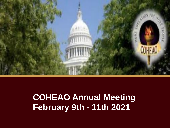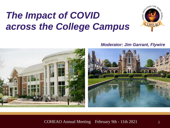# *The Impact of COVID across the College Campus*



#### *Moderator: Jim Garrant, Flywire*

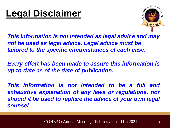

*This information is not intended as legal advice and may not be used as legal advice. Legal advice must be tailored to the specific circumstances of each case.*

*Every effort has been made to assure this information is up-to-date as of the date of publication.*

*This information is not intended to be a full and exhaustive explanation of any laws or regulations, nor should it be used to replace the advice of your own legal counsel*.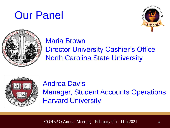





#### Maria Brown Director University Cashier's Office

North Carolina State University



#### Andrea Davis Manager, Student Accounts Operations Harvard University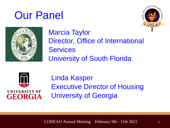# Our Panel





### Marcia Taylor Director, Office of International **Services** University of South Florida



UNIVERSITY OF **GEORGIA**  Linda Kasper Executive Director of Housing University of Georgia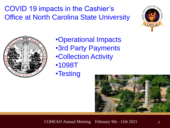COVID 19 impacts in the Cashier's Office at North Carolina State University





•Operational Impacts •3rd Party Payments •Collection Activity •1098T •Testing

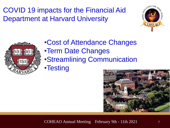COVID 19 impacts for the Financial Aid Department at Harvard University





•Cost of Attendance Changes •Term Date Changes •Streamlining Communication •Testing

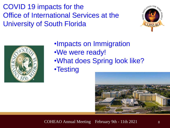COVID 19 impacts for the Office of International Services at the University of South Florida





•Impacts on Immigration •We were ready! •What does Spring look like?

•Testing

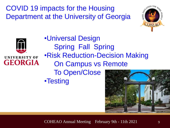COVID 19 impacts for the Housing Department at the University of Georgia





•Universal Design Spring Fall Spring •Risk Reduction-Decision Making On Campus vs Remote To Open/Close •Testing

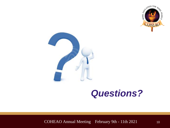



## *Questions?*